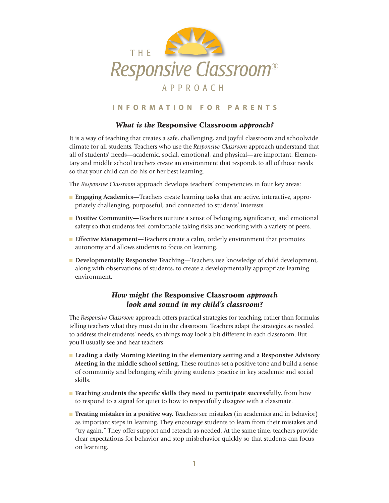

## **I N F O R M A T I O N F O R P A R E N T S**

## *What is the* **Responsive Classroom** *approach?*

It is a way of teaching that creates a safe, challenging, and joyful classroom and schoolwide climate for all students. Teachers who use the *Responsive Classroom* approach understand that all of students' needs—academic, social, emotional, and physical—are important. Elementary and middle school teachers create an environment that responds to all of those needs so that your child can do his or her best learning.

The *Responsive Classroom* approach develops teachers' competencies in four key areas:

- <sup>n</sup> **Engaging Academics—**Teachers create learning tasks that are active, interactive, appropriately challenging, purposeful, and connected to students' interests.
- **Positive Community—Teachers nurture a sense of belonging, significance, and emotional** safety so that students feel comfortable taking risks and working with a variety of peers.
- <sup>n</sup> **Effective Management—**Teachers create a calm, orderly environment that promotes autonomy and allows students to focus on learning.
- <sup>n</sup> **Developmentally Responsive Teaching—**Teachers use knowledge of child development, along with observations of students, to create a developmentally appropriate learning environment.

# *How might the* **Responsive Classroom** *approach look and sound in my child's classroom?*

The *Responsive Classroom* approach offers practical strategies for teaching, rather than formulas telling teachers what they must do in the classroom. Teachers adapt the strategies as needed to address their students' needs, so things may look a bit different in each classroom. But you'll usually see and hear teachers:

- <sup>n</sup> **Leading a daily Morning Meeting in the elementary setting and a Responsive Advisory Meeting in the middle school setting.** These routines set a positive tone and build a sense of community and belonging while giving students practice in key academic and social skills.
- <sup>n</sup> **Teaching students the specific skills they need to participate successfully,** from how to respond to a signal for quiet to how to respectfully disagree with a classmate.
- <sup>n</sup> **Treating mistakes in a positive way.** Teachers see mistakes (in academics and in behavior) as important steps in learning. They encourage students to learn from their mistakes and "try again." They offer support and reteach as needed. At the same time, teachers provide clear expectations for behavior and stop misbehavior quickly so that students can focus on learning.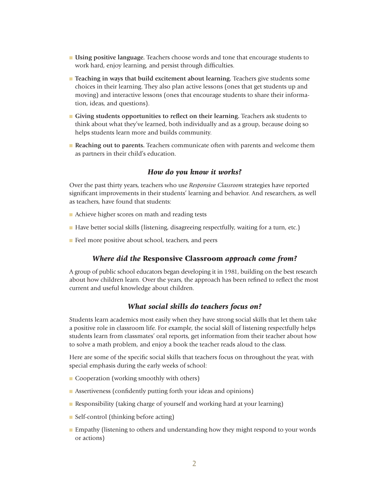- <sup>n</sup> **Using positive language.** Teachers choose words and tone that encourage students to work hard, enjoy learning, and persist through difficulties.
- <sup>n</sup> **Teaching in ways that build excitement about learning.** Teachers give students some choices in their learning. They also plan active lessons (ones that get students up and moving) and interactive lessons (ones that encourage students to share their information, ideas, and questions).
- <sup>n</sup> **Giving students opportunities to reflect on their learning.** Teachers ask students to think about what they've learned, both individually and as a group, because doing so helps students learn more and builds community.
- <sup>n</sup> **Reaching out to parents.** Teachers communicate often with parents and welcome them as partners in their child's education.

## *How do you know it works?*

Over the past thirty years, teachers who use *Responsive Classroom* strategies have reported significant improvements in their students' learning and behavior. And researchers, as well as teachers, have found that students:

- **n** Achieve higher scores on math and reading tests
- <sup>n</sup> Have better social skills (listening, disagreeing respectfully, waiting for a turn, etc.)
- **n** Feel more positive about school, teachers, and peers

#### *Where did the* **Responsive Classroom** *approach come from?*

A group of public school educators began developing it in 1981, building on the best research about how children learn. Over the years, the approach has been refined to reflect the most current and useful knowledge about children.

#### *What social skills do teachers focus on?*

Students learn academics most easily when they have strong social skills that let them take a positive role in classroom life. For example, the social skill of listening respectfully helps students learn from classmates' oral reports, get information from their teacher about how to solve a math problem, and enjoy a book the teacher reads aloud to the class.

Here are some of the specific social skills that teachers focus on throughout the year, with special emphasis during the early weeks of school:

- Cooperation (working smoothly with others)
- **n** Assertiveness (confidently putting forth your ideas and opinions)
- **Responsibility (taking charge of yourself and working hard at your learning)**
- $\blacksquare$  Self-control (thinking before acting)
- **Empathy (listening to others and understanding how they might respond to your words** or actions)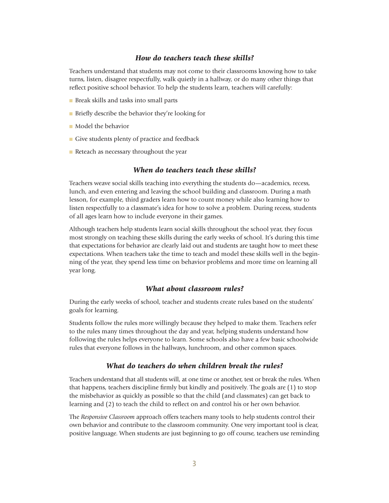#### *How do teachers teach these skills?*

Teachers understand that students may not come to their classrooms knowing how to take turns, listen, disagree respectfully, walk quietly in a hallway, or do many other things that reflect positive school behavior. To help the students learn, teachers will carefully:

- **n** Break skills and tasks into small parts
- <sup>n</sup> Briefly describe the behavior they're looking for
- <sup>n</sup> Model the behavior
- $\blacksquare$  Give students plenty of practice and feedback
- **n** Reteach as necessary throughout the year

#### *When do teachers teach these skills?*

Teachers weave social skills teaching into everything the students do—academics, recess, lunch, and even entering and leaving the school building and classroom. During a math lesson, for example, third graders learn how to count money while also learning how to listen respectfully to a classmate's idea for how to solve a problem. During recess, students of all ages learn how to include everyone in their games.

Although teachers help students learn social skills throughout the school year, they focus most strongly on teaching these skills during the early weeks of school. It's during this time that expectations for behavior are clearly laid out and students are taught how to meet these expectations. When teachers take the time to teach and model these skills well in the beginning of the year, they spend less time on behavior problems and more time on learning all year long.

#### *What about classroom rules?*

During the early weeks of school, teacher and students create rules based on the students' goals for learning.

Students follow the rules more willingly because they helped to make them. Teachers refer to the rules many times throughout the day and year, helping students understand how following the rules helps everyone to learn. Some schools also have a few basic schoolwide rules that everyone follows in the hallways, lunchroom, and other common spaces.

## *What do teachers do when children break the rules?*

Teachers understand that all students will, at one time or another, test or break the rules. When that happens, teachers discipline firmly but kindly and positively. The goals are (1) to stop the misbehavior as quickly as possible so that the child (and classmates) can get back to learning and (2) to teach the child to reflect on and control his or her own behavior.

The *Responsive Classroom* approach offers teachers many tools to help students control their own behavior and contribute to the classroom community. One very important tool is clear, positive language. When students are just beginning to go off course, teachers use reminding